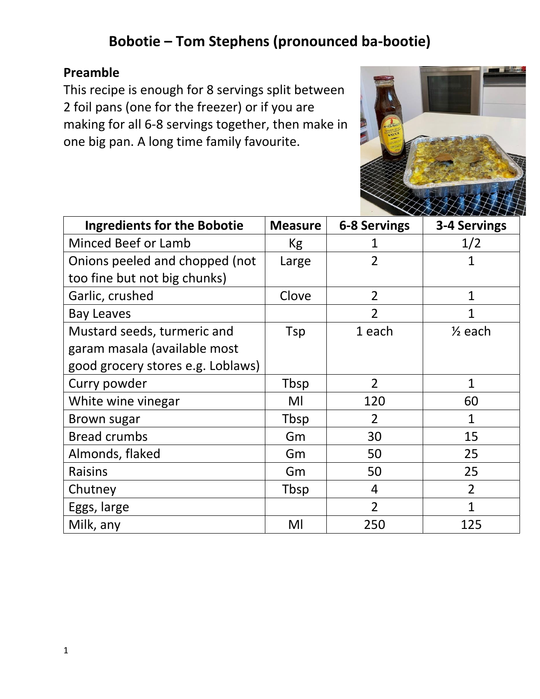# **Bobotie – Tom Stephens (pronounced ba-bootie)**

### **Preamble**

This recipe is enough for 8 servings split between 2 foil pans (one for the freezer) or if you are making for all 6-8 servings together, then make in one big pan. A long time family favourite.



| <b>Ingredients for the Bobotie</b> | <b>Measure</b> | <b>6-8 Servings</b> | 3-4 Servings       |
|------------------------------------|----------------|---------------------|--------------------|
| <b>Minced Beef or Lamb</b>         | Kg             | 1                   | 1/2                |
| Onions peeled and chopped (not     | Large          | $\overline{2}$      | 1                  |
| too fine but not big chunks)       |                |                     |                    |
| Garlic, crushed                    | Clove          | $\overline{2}$      | 1                  |
| <b>Bay Leaves</b>                  |                | $\overline{2}$      | 1                  |
| Mustard seeds, turmeric and        | Tsp            | 1 each              | $\frac{1}{2}$ each |
| garam masala (available most       |                |                     |                    |
| good grocery stores e.g. Loblaws)  |                |                     |                    |
| Curry powder                       | Tbsp           | $\overline{2}$      | 1                  |
| White wine vinegar                 | MI             | 120                 | 60                 |
| <b>Brown sugar</b>                 | Tbsp           | $\overline{2}$      | 1                  |
| <b>Bread crumbs</b>                | Gm             | 30                  | 15                 |
| Almonds, flaked                    | Gm             | 50                  | 25                 |
| <b>Raisins</b>                     | Gm             | 50                  | 25                 |
| Chutney                            | Tbsp           | 4                   | $\overline{2}$     |
| Eggs, large                        |                | $\overline{2}$      | 1                  |
| Milk, any                          | Ml             | 250                 | 125                |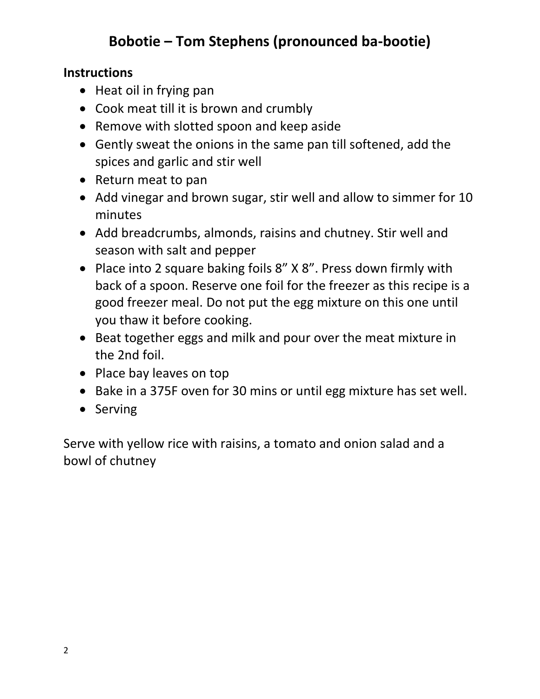# **Bobotie – Tom Stephens (pronounced ba-bootie)**

### **Instructions**

- Heat oil in frying pan
- Cook meat till it is brown and crumbly
- Remove with slotted spoon and keep aside
- Gently sweat the onions in the same pan till softened, add the spices and garlic and stir well
- Return meat to pan
- Add vinegar and brown sugar, stir well and allow to simmer for 10 minutes
- Add breadcrumbs, almonds, raisins and chutney. Stir well and season with salt and pepper
- Place into 2 square baking foils 8" X 8". Press down firmly with back of a spoon. Reserve one foil for the freezer as this recipe is a good freezer meal. Do not put the egg mixture on this one until you thaw it before cooking.
- Beat together eggs and milk and pour over the meat mixture in the 2nd foil.
- Place bay leaves on top
- Bake in a 375F oven for 30 mins or until egg mixture has set well.
- Serving

Serve with yellow rice with raisins, a tomato and onion salad and a bowl of chutney